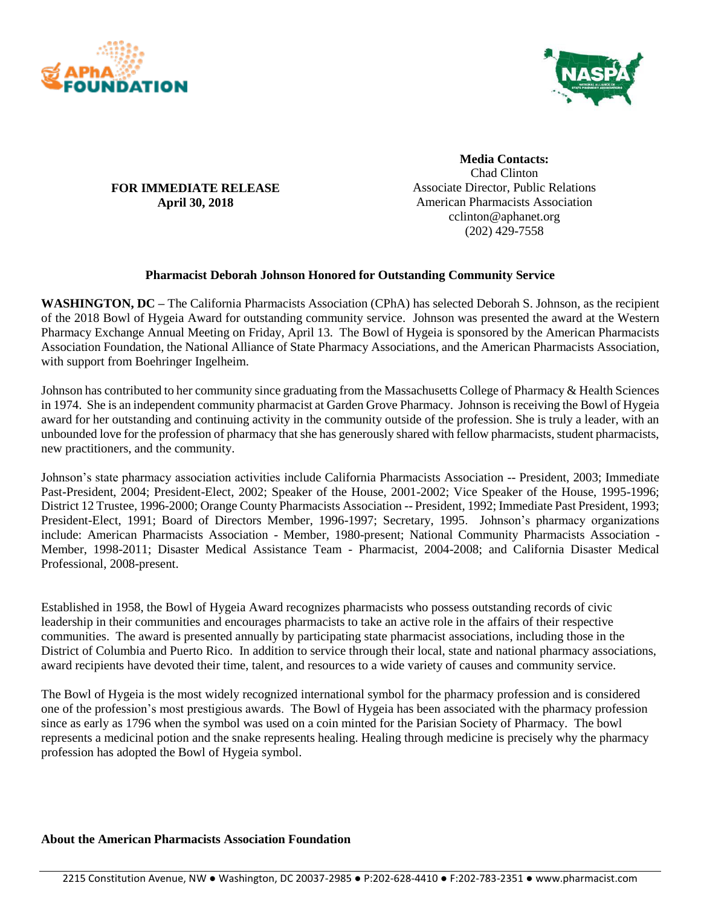



## **FOR IMMEDIATE RELEASE April 30, 2018**

**Media Contacts:** Chad Clinton Associate Director, Public Relations American Pharmacists Association cclinton@aphanet.org (202) 429-7558

## **Pharmacist Deborah Johnson Honored for Outstanding Community Service**

**WASHINGTON, DC –** The California Pharmacists Association (CPhA) has selected Deborah S. Johnson, as the recipient of the 2018 Bowl of Hygeia Award for outstanding community service. Johnson was presented the award at the Western Pharmacy Exchange Annual Meeting on Friday, April 13. The Bowl of Hygeia is sponsored by the American Pharmacists Association Foundation, the National Alliance of State Pharmacy Associations, and the American Pharmacists Association, with support from Boehringer Ingelheim.

Johnson has contributed to her community since graduating from the Massachusetts College of Pharmacy & Health Sciences in 1974. She is an independent community pharmacist at Garden Grove Pharmacy. Johnson is receiving the Bowl of Hygeia award for her outstanding and continuing activity in the community outside of the profession. She is truly a leader, with an unbounded love for the profession of pharmacy that she has generously shared with fellow pharmacists, student pharmacists, new practitioners, and the community.

Johnson's state pharmacy association activities include California Pharmacists Association -- President, 2003; Immediate Past-President, 2004; President-Elect, 2002; Speaker of the House, 2001-2002; Vice Speaker of the House, 1995-1996; District 12 Trustee, 1996-2000; Orange County Pharmacists Association -- President, 1992; Immediate Past President, 1993; President-Elect, 1991; Board of Directors Member, 1996-1997; Secretary, 1995. Johnson's pharmacy organizations include: American Pharmacists Association - Member, 1980-present; National Community Pharmacists Association - Member, 1998-2011; Disaster Medical Assistance Team - Pharmacist, 2004-2008; and California Disaster Medical Professional, 2008-present.

Established in 1958, the Bowl of Hygeia Award recognizes pharmacists who possess outstanding records of civic leadership in their communities and encourages pharmacists to take an active role in the affairs of their respective communities. The award is presented annually by participating state pharmacist associations, including those in the District of Columbia and Puerto Rico. In addition to service through their local, state and national pharmacy associations, award recipients have devoted their time, talent, and resources to a wide variety of causes and community service.

The Bowl of Hygeia is the most widely recognized international symbol for the pharmacy profession and is considered one of the profession's most prestigious awards. The Bowl of Hygeia has been associated with the pharmacy profession since as early as 1796 when the symbol was used on a coin minted for the Parisian Society of Pharmacy. The bowl represents a medicinal potion and the snake represents healing. Healing through medicine is precisely why the pharmacy profession has adopted the Bowl of Hygeia symbol.

## **About the American Pharmacists Association Foundation**